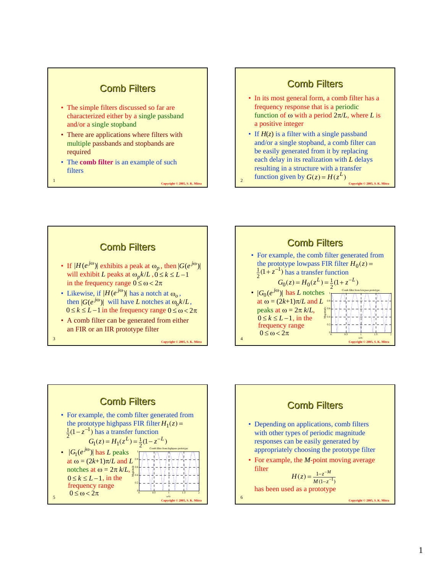## **Comb Filters**

- The simple filters discussed so far are characterized either by a single passband and/or a single stopband
- There are applications where filters with multiple passbands and stopbands are required
- The **comb filter** is an example of such filters

**Copyright © 2005, S. K. M** 

**Convright © 2005, S. K. M** 

## **Comb Filters**

- In its most general form, a comb filter has a frequency response that is a periodic function of ω with a period 2π/*L*, where *L* is a positive integer
- function given by  $G(z) = H(z^L)$  *Copyright © 2005, S. K. Mitra* • If  $H(z)$  is a filter with a single passband and/or a single stopband, a comb filter can be easily generated from it by replacing each delay in its realization with *L* delays resulting in a structure with a transfer



**Comb Filters** • For example, the comb filter generated from the prototype lowpass FIR filter  $H_0(z)$  =  $(1+z^{-1})$  has a transfer function •  $|G_0(e^{j\omega})|$  has *L* notches at  $\omega = (2k+1)\pi/L$  and *L* peaks at  $ω = 2π k/L$ ,  $rac{1}{2}(1 + z^{-1})$  $G_0(z) = H_0(z^L) = \frac{1}{2}(1 + z^{-L})$  $H_0(z) = H_0(z^L) = \frac{1}{2}$  $0 \le k \le L-1$ , in the frequency range 0.2 0.4 0.6 0.8 1 Magnitude Comb filter from lowpass prototype

**Copyright © 2005, S. K. Mitra** <sup>4</sup>

 $\begin{array}{ccc} 0 & 0 & 0.5 \\ 0 & 0.5 & 1 \end{array}$  1.5 2

ω/π

 $0 \leq \omega < 2\pi$ 



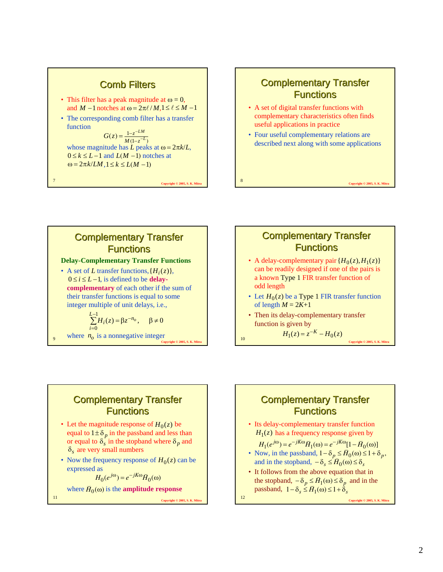#### **Copyright © 2005, S. K. M Comb Filters** • This filter has a peak magnitude at  $\omega = 0$ , and  $M-1$  notches at  $\omega = 2\pi \ell / M$ ,  $1 \le \ell \le M-1$ • The corresponding comb filter has a transfer function whose magnitude has *L* peaks at  $\omega = 2\pi k/L$ ,  $0 \le k \le L-1$  and  $L(M-1)$  notches at  $\omega = 2\pi k/LM, 1 \leq k \leq L(M-1)$  $(z) = \frac{1 - z^{-LM}}{M(1 - z^{-L})}$  $G(z) = \frac{1 - z^{-L}M}{M(1 - z^{-L})}$  $=\frac{1-z^{-}}{M(1-z^{-})}$

# **Complementary Transfer Functions**

- A set of digital transfer functions with complementary characteristics often finds useful applications in practice
- Four useful complementary relations are described next along with some applications

**Copyright © 2005, S. K. Mitra** <sup>8</sup>

**Complementary Transfer Functions** 

**Delay-Complementary Transfer Functions**

• A set of *L* transfer functions,  $\{H_i(z)\}\$ ,  $0 \le i \le L-1$ , is defined to be **delaycomplementary** of each other if the sum of their transfer functions is equal to some integer multiple of unit delays, i.e.,

$$
\sum_{i=0}^{L-1} H_i(z) = \beta z^{-n_o}, \quad \beta \neq 0
$$

where  $n_o$  is a nonnegative integer  $H_1(z) = z^{-\kappa} - H_0(z)$  copyright © 2005, S. K. Mitra

### **Complementary Transfer Functions**

- A delay-complementary pair  $\{H_0(z), H_1(z)\}$ can be readily designed if one of the pairs is a known Type 1 FIR transfer function of odd length
- Let  $H_0(z)$  be a Type 1 FIR transfer function of length  $M = 2K+1$

 $H_1(z) = z^{-K} - H_0(z)$ 

• Then its delay-complementary transfer function is given by

# **Complementary Transfer Functions**

- Let the magnitude response of  $H_0(z)$  be equal to  $1 \pm \delta_p$  in the passband and less than or equal to  $\delta_s$  in the stopband where  $\delta_p$  and  $\delta_s$  are very small numbers
- Now the frequency response of  $H_0(z)$  can be expressed as

 $H_0(e^{j\omega}) = e^{-jK\omega} \widetilde{H}_0(\omega)$ 

where  $\tilde{H}_0(\omega)$  is the **amplitude response** 

**Copyright © 2005, S. K. Mitra** <sup>11</sup>

# **Complementary Transfer Functions**

• Its delay-complementary transfer function  $H_1(z)$  has a frequency response given by

 $H_1(e^{j\omega}) = e^{-jK\omega} \tilde{H}_1(\omega) = e^{-jK\omega} [1 - \tilde{H}_0(\omega)]$ 

- Now, in the passband,  $1 \delta_p \leq \overline{H}_0(\omega) \leq 1 + \delta_p$ , and in the stopband,  $-\delta_s \leq \bar{H}_0(\omega) \leq \delta_s$
- It follows from the above equation that in the stopband,  $-\delta_p \leq \bar{H}_1(\omega) \leq \delta_p$  and in the  $\frac{\partial}{\partial p}$  *n*  $\frac{\partial}{\partial p}$  =  $\frac{H_1(\omega) = \sigma_p}{p}$ <br>passband,  $1 - \delta_s \leq \tilde{H}_1(\omega) \leq 1 + \delta_s$

**Copyright © 2005, S. K. Mitra** <sup>12</sup>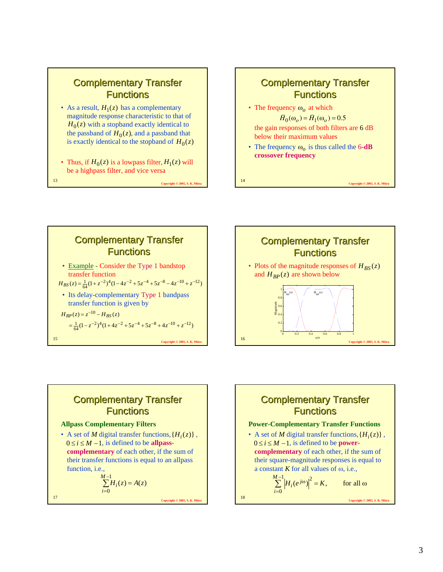## **Complementary Transfer Functions**

- As a result,  $H_1(z)$  has a complementary magnitude response characteristic to that of  $H_0(z)$  with a stopband exactly identical to the passband of  $H_0(z)$ , and a passband that is exactly identical to the stopband of  $H_0(z)$
- Thus, if  $H_0(z)$  is a lowpass filter,  $H_1(z)$  will be a highpass filter, and vice versa

**Copyright © 2005, S. K. Mitrab 13** 

# **Complementary Transfer Functions**

• The frequency  $\omega_o$  at which

 $\widetilde{H}_0(\omega_0) = \widetilde{H}_1(\omega_0) = 0.5$ 

- the gain responses of both filters are 6 dB below their maximum values
- The frequency  $\omega_o$  is thus called the 6-dB **crossover frequency**

**Copyright © 2005, S. K. Mitra** <sup>14</sup>





# **Complementary Transfer Functions**

#### **Allpass Complementary Filters**

• A set of *M* digital transfer functions,  $\{H_i(z)\}\,$ ,  $0 \le i \le M - 1$ , is defined to be **allpasscomplementary** of each other, if the sum of their transfer functions is equal to an allpass function, i.e.,

$$
\sum_{i=0}^{M-1} H_i(z) = A(z)
$$

**Converted C** 2005, S. K. Mitrab 17 and 2005, S. K. Mitrab 17 and 2005, S. K. Mitrab 17 and 2005, S. K. Mitrab 17 and 2005, S. K. Mitrab 17 and 2005, S. K. Mitrab 17 and 2005, S. K. Mitrab 17 and 2005, S. K. Mitrab 17 and

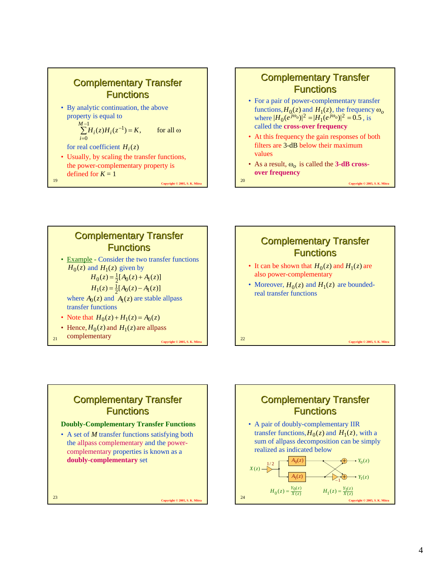

## **Complementary Transfer Functions**

- For a pair of power-complementary transfer functions,  $H_0(z)$  and  $H_1(z)$ , the frequency  $\omega_o$ where  $|H_0(e^{j\omega_o})|^2 = |H_1(e^{j\omega_o})|^2 = 0.5$ , is called the **cross-over frequency**
- At this frequency the gain responses of both filters are 3-dB below their maximum values
- As a result,  $\omega_o$  is called the **3-dB crossover frequency**

**Copyright © 2005, S. K. Mitra** <sup>20</sup>





#### **Complementary Transfer Functions** • It can be shown that  $H_0(z)$  and  $H_1(z)$  are also power-complementary • Moreover,  $H_0(z)$  and  $H_1(z)$  are boundedreal transfer functions

**Copyright © 2005, S. K. Mitra** <sup>22</sup>

# **Complementary Transfer Functions**

#### **Doubly-Complementary Transfer Functions**

• A set of *M* transfer functions satisfying both the allpass complementary and the powercomplementary properties is known as a **doubly-complementary** set

**Copyright © 2005, S. K. Mitra** <sup>23</sup>

# **Complementary Transfer Functions**

• A pair of doubly-complementary IIR transfer functions,  $H_0(z)$  and  $H_1(z)$ , with a sum of allpass decomposition can be simply realized as indicated below  $\overline{\bigoplus}$   $\rightarrow$   $Y_0(z)$  $A_1(z)$  $A_0(z)$  $X(z)$  –  $\rightarrow Y_1(z)$  $1/2$  $y_0(z) = \frac{Y_0(z)}{X(z)}$  $H_0(z) = \frac{Y_0(z)}{X(z)}$   $H_1(z) = \frac{Y_1(z)}{X(z)}$ 

**Copyright © 2005, S. K. Mitra** <sup>24</sup>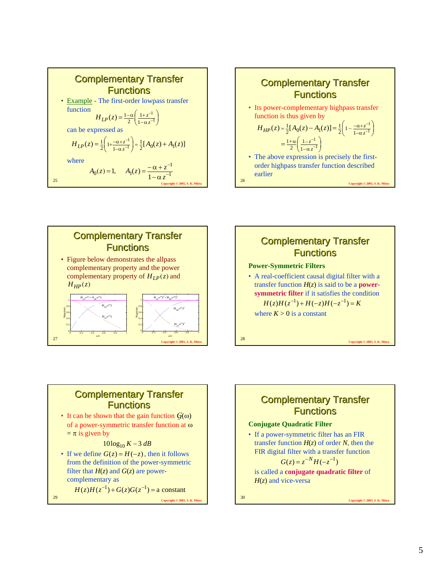







#### **Complementary Transfer Functions**

• It can be shown that the gain function  $G(\omega)$ of a power-symmetric transfer function at ω  $=$   $\pi$  is given by

#### $10\log_{10} K - 3 dB$

• If we define  $G(z) = H(-z)$ , then it follows from the definition of the power-symmetric filter that  $H(z)$  and  $G(z)$  are powercomplementary as

**Copyright © 2005, S. K. Mitra** <sup>29</sup>  $H(z)H(z^{-1}) + G(z)G(z^{-1}) = a$  constant

**Complementary Transfer Functions** 

#### **Conjugate Quadratic Filter**

• If a power-symmetric filter has an FIR transfer function  $H(z)$  of order *N*, then the FIR digital filter with a transfer function

$$
G(z) = z^{-N} H(-z^{-1})
$$

is called a **conjugate quadratic filter** of *H*(*z*) and vice-versa

**Copyright © 2005, S. K. Mitra** <sup>30</sup>

5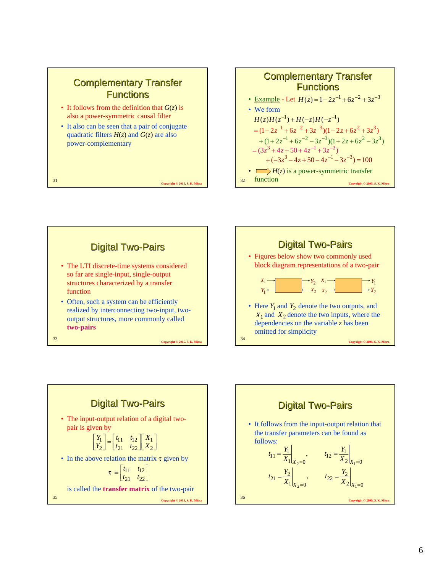





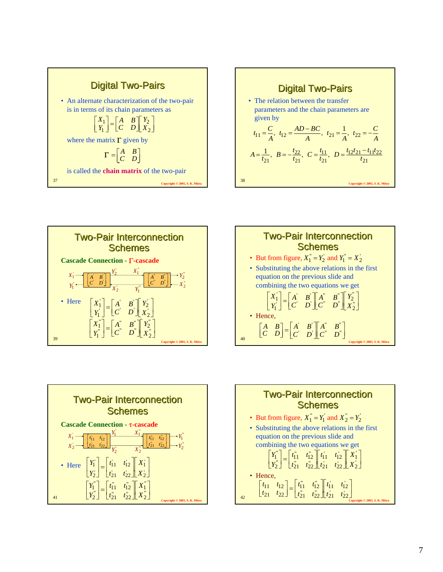









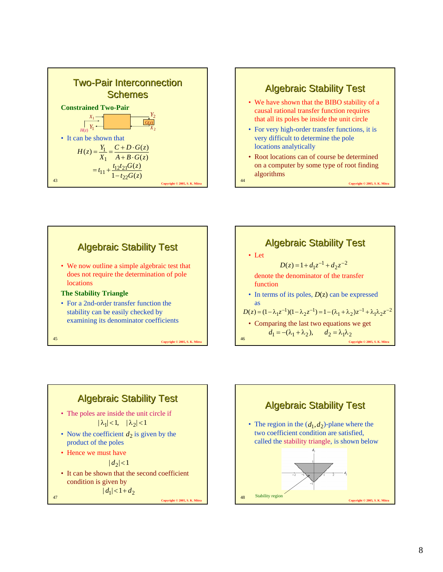







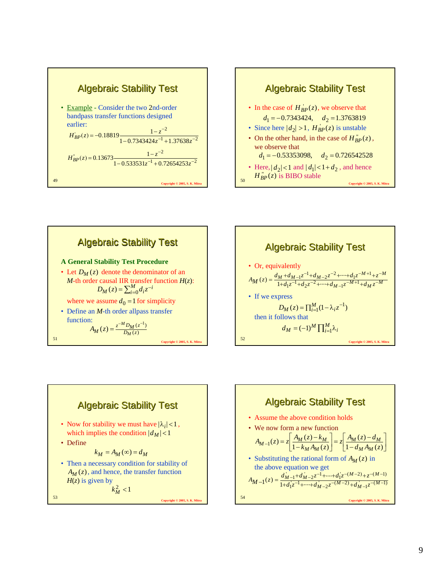









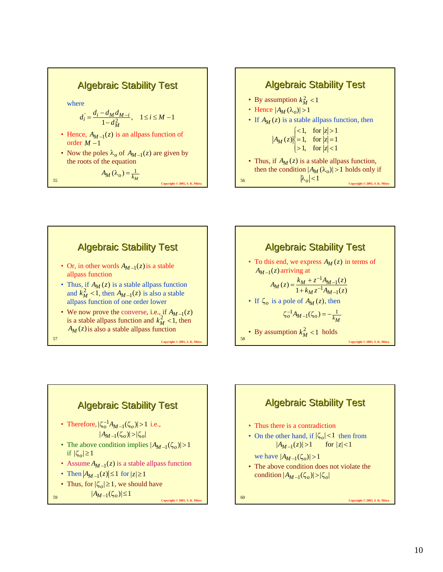#### **Algebraic Stability Test** where • Hence,  $A_{M-1}(z)$  is an allpass function of order *M* −1 • Now the poles  $\lambda_o$  of  $A_{M-1}(z)$  are given by the roots of the equation  $d_i = \frac{d_i - d_M d_{M-i}}{1 - d_M^2}, \quad 1 \le i \le M - 1$ *M*  $a_i = \frac{a_i - a_M a_{M-i}}{1 - a_i^2}$  $A_{\lambda}$

$$
A_M(\lambda_o) = \frac{1}{k_M}
$$
\n55\n
$$
A_M(\lambda_o) = \frac{1}{k_M}
$$
\n[*Convenient 0 2005, S, K, M*]\n56











**Copyright © 2005, S. K. Mitra** <sup>60</sup> **Algebraic Stability Test** • Thus there is a contradiction • On the other hand, if  $|\zeta_o|$  < 1 then from we have  $|A_{M-1}(\zeta_o)| > 1$ • The above condition does not violate the  $\text{condition } |A_{M-1}(\zeta_o)| > |\zeta_o|$  $|A_{M-1}(z)| > 1$  for  $|z| < 1$